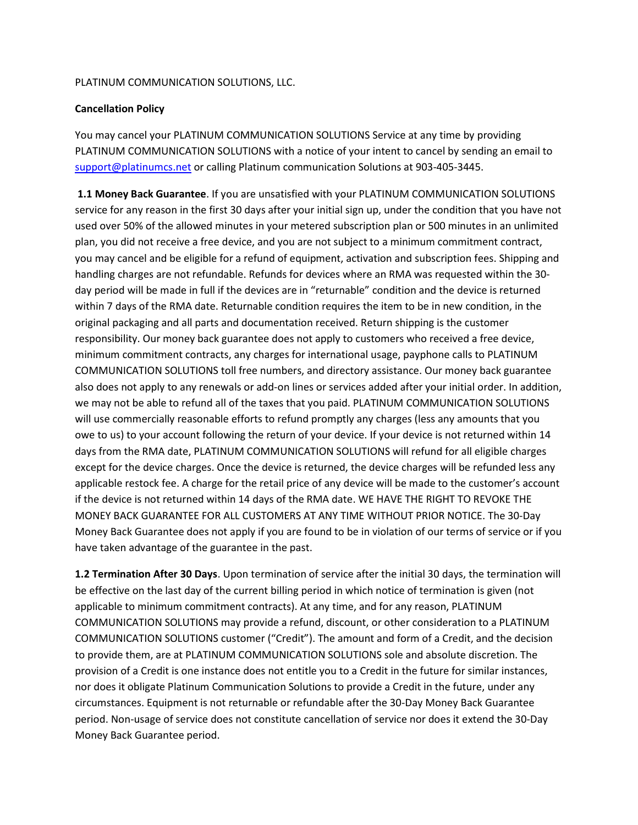## PLATINUM COMMUNICATION SOLUTIONS, LLC.

## Cancellation Policy

You may cancel your PLATINUM COMMUNICATION SOLUTIONS Service at any time by providing PLATINUM COMMUNICATION SOLUTIONS with a notice of your intent to cancel by sending an email to support@platinumcs.net or calling Platinum communication Solutions at 903-405-3445.

 1.1 Money Back Guarantee. If you are unsatisfied with your PLATINUM COMMUNICATION SOLUTIONS service for any reason in the first 30 days after your initial sign up, under the condition that you have not used over 50% of the allowed minutes in your metered subscription plan or 500 minutes in an unlimited plan, you did not receive a free device, and you are not subject to a minimum commitment contract, you may cancel and be eligible for a refund of equipment, activation and subscription fees. Shipping and handling charges are not refundable. Refunds for devices where an RMA was requested within the 30 day period will be made in full if the devices are in "returnable" condition and the device is returned within 7 days of the RMA date. Returnable condition requires the item to be in new condition, in the original packaging and all parts and documentation received. Return shipping is the customer responsibility. Our money back guarantee does not apply to customers who received a free device, minimum commitment contracts, any charges for international usage, payphone calls to PLATINUM COMMUNICATION SOLUTIONS toll free numbers, and directory assistance. Our money back guarantee also does not apply to any renewals or add-on lines or services added after your initial order. In addition, we may not be able to refund all of the taxes that you paid. PLATINUM COMMUNICATION SOLUTIONS will use commercially reasonable efforts to refund promptly any charges (less any amounts that you owe to us) to your account following the return of your device. If your device is not returned within 14 days from the RMA date, PLATINUM COMMUNICATION SOLUTIONS will refund for all eligible charges except for the device charges. Once the device is returned, the device charges will be refunded less any applicable restock fee. A charge for the retail price of any device will be made to the customer's account if the device is not returned within 14 days of the RMA date. WE HAVE THE RIGHT TO REVOKE THE MONEY BACK GUARANTEE FOR ALL CUSTOMERS AT ANY TIME WITHOUT PRIOR NOTICE. The 30-Day Money Back Guarantee does not apply if you are found to be in violation of our terms of service or if you have taken advantage of the guarantee in the past.

1.2 Termination After 30 Days. Upon termination of service after the initial 30 days, the termination will be effective on the last day of the current billing period in which notice of termination is given (not applicable to minimum commitment contracts). At any time, and for any reason, PLATINUM COMMUNICATION SOLUTIONS may provide a refund, discount, or other consideration to a PLATINUM COMMUNICATION SOLUTIONS customer ("Credit"). The amount and form of a Credit, and the decision to provide them, are at PLATINUM COMMUNICATION SOLUTIONS sole and absolute discretion. The provision of a Credit is one instance does not entitle you to a Credit in the future for similar instances, nor does it obligate Platinum Communication Solutions to provide a Credit in the future, under any circumstances. Equipment is not returnable or refundable after the 30-Day Money Back Guarantee period. Non-usage of service does not constitute cancellation of service nor does it extend the 30-Day Money Back Guarantee period.